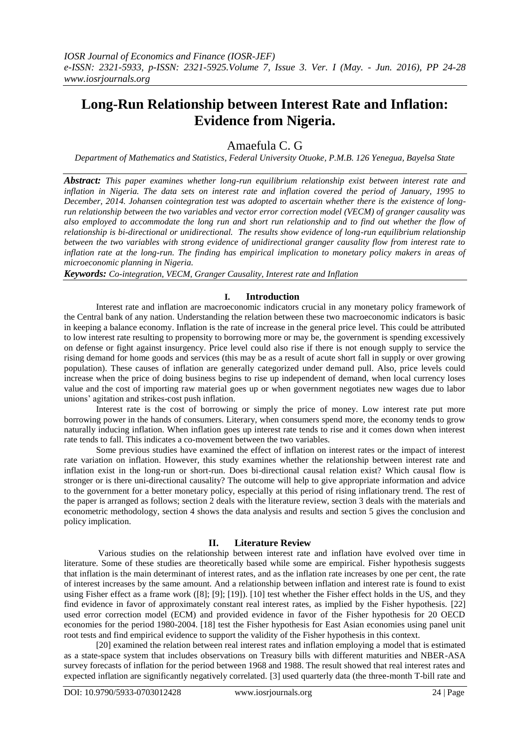# **Long-Run Relationship between Interest Rate and Inflation: Evidence from Nigeria.**

# Amaefula C. G

*Department of Mathematics and Statistics, Federal University Otuoke, P.M.B. 126 Yenegua, Bayelsa State*

*Abstract: This paper examines whether long-run equilibrium relationship exist between interest rate and inflation in Nigeria. The data sets on interest rate and inflation covered the period of January, 1995 to December, 2014. Johansen cointegration test was adopted to ascertain whether there is the existence of longrun relationship between the two variables and vector error correction model (VECM) of granger causality was also employed to accommodate the long run and short run relationship and to find out whether the flow of relationship is bi-directional or unidirectional. The results show evidence of long-run equilibrium relationship between the two variables with strong evidence of unidirectional granger causality flow from interest rate to inflation rate at the long-run. The finding has empirical implication to monetary policy makers in areas of microeconomic planning in Nigeria.*

*Keywords: Co-integration, VECM, Granger Causality, Interest rate and Inflation*

#### **I. Introduction**

Interest rate and inflation are macroeconomic indicators crucial in any monetary policy framework of the Central bank of any nation. Understanding the relation between these two macroeconomic indicators is basic in keeping a balance economy. Inflation is the rate of increase in the general price level. This could be attributed to low interest rate resulting to propensity to borrowing more or may be, the government is spending excessively on defense or fight against insurgency. Price level could also rise if there is not enough supply to service the rising demand for home goods and services (this may be as a result of acute short fall in supply or over growing population). These causes of inflation are generally categorized under demand pull. Also, price levels could increase when the price of doing business begins to rise up independent of demand, when local currency loses value and the cost of importing raw material goes up or when government negotiates new wages due to labor unions' agitation and strikes-cost push inflation.

Interest rate is the cost of borrowing or simply the price of money. Low interest rate put more borrowing power in the hands of consumers. Literary, when consumers spend more, the economy tends to grow naturally inducing inflation. When inflation goes up interest rate tends to rise and it comes down when interest rate tends to fall. This indicates a co-movement between the two variables.

Some previous studies have examined the effect of inflation on interest rates or the impact of interest rate variation on inflation. However, this study examines whether the relationship between interest rate and inflation exist in the long-run or short-run. Does bi-directional causal relation exist? Which causal flow is stronger or is there uni-directional causality? The outcome will help to give appropriate information and advice to the government for a better monetary policy, especially at this period of rising inflationary trend. The rest of the paper is arranged as follows; section 2 deals with the literature review, section 3 deals with the materials and econometric methodology, section 4 shows the data analysis and results and section 5 gives the conclusion and policy implication.

### **II. Literature Review**

Various studies on the relationship between interest rate and inflation have evolved over time in literature. Some of these studies are theoretically based while some are empirical. Fisher hypothesis suggests that inflation is the main determinant of interest rates, and as the inflation rate increases by one per cent, the rate of interest increases by the same amount. And a relationship between inflation and interest rate is found to exist using Fisher effect as a frame work ([8]; [9]; [19]). [10] test whether the Fisher effect holds in the US, and they find evidence in favor of approximately constant real interest rates, as implied by the Fisher hypothesis. [22] used error correction model (ECM) and provided evidence in favor of the Fisher hypothesis for 20 OECD economies for the period 1980-2004. [18] test the Fisher hypothesis for East Asian economies using panel unit root tests and find empirical evidence to support the validity of the Fisher hypothesis in this context.

[20] examined the relation between real interest rates and inflation employing a model that is estimated as a state-space system that includes observations on Treasury bills with different maturities and NBER-ASA survey forecasts of inflation for the period between 1968 and 1988. The result showed that real interest rates and expected inflation are significantly negatively correlated. [3] used quarterly data (the three-month T-bill rate and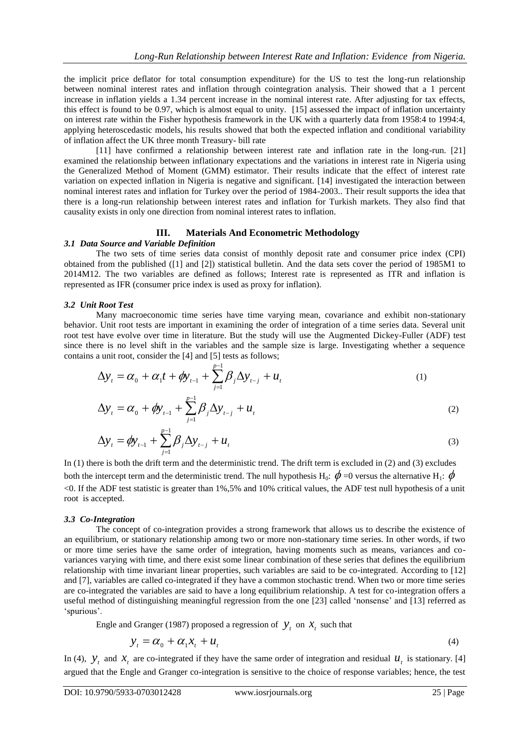the implicit price deflator for total consumption expenditure) for the US to test the long-run relationship between nominal interest rates and inflation through cointegration analysis. Their showed that a 1 percent increase in inflation yields a 1.34 percent increase in the nominal interest rate. After adjusting for tax effects, this effect is found to be 0.97, which is almost equal to unity. [15] assessed the impact of inflation uncertainty on interest rate within the Fisher hypothesis framework in the UK with a quarterly data from 1958:4 to 1994:4, applying heteroscedastic models, his results showed that both the expected inflation and conditional variability of inflation affect the UK three month Treasury- bill rate

[11] have confirmed a relationship between interest rate and inflation rate in the long-run. [21] examined the relationship between inflationary expectations and the variations in interest rate in Nigeria using the Generalized Method of Moment (GMM) estimator. Their results indicate that the effect of interest rate variation on expected inflation in Nigeria is negative and significant. [14] investigated the interaction between nominal interest rates and inflation for Turkey over the period of 1984-2003.. Their result supports the idea that there is a long-run relationship between interest rates and inflation for Turkish markets. They also find that causality exists in only one direction from nominal interest rates to inflation.

## **III. Materials And Econometric Methodology**

#### *3.1 Data Source and Variable Definition*

The two sets of time series data consist of monthly deposit rate and consumer price index (CPI) obtained from the published ([1] and [2]) statistical bulletin. And the data sets cover the period of 1985M1 to 2014M12. The two variables are defined as follows; Interest rate is represented as ITR and inflation is represented as IFR (consumer price index is used as proxy for inflation).

#### *3.2 Unit Root Test*

Many macroeconomic time series have time varying mean, covariance and exhibit non-stationary behavior. Unit root tests are important in examining the order of integration of a time series data. Several unit root test have evolve over time in literature. But the study will use the Augmented Dickey-Fuller (ADF) test since there is no level shift in the variables and the sample size is large. Investigating whether a sequence contains a unit root, consider the [4] and [5] tests as follows;

$$
\Delta y_{t} = \alpha_{0} + \alpha_{1}t + \phi y_{t-1} + \sum_{j=1}^{p-1} \beta_{j} \Delta y_{t-j} + u_{t}
$$
\n(1)

$$
\Delta y_{t} = \alpha_{0} + \phi y_{t-1} + \sum_{j=1}^{p-1} \beta_{j} \Delta y_{t-j} + u_{t}
$$
\n(2)

$$
\Delta y_{t} = \phi y_{t-1} + \sum_{j=1}^{p-1} \beta_{j} \Delta y_{t-j} + u_{t}
$$
\n(3)

In (1) there is both the drift term and the deterministic trend. The drift term is excluded in (2) and (3) excludes both the intercept term and the deterministic trend. The null hypothesis H<sub>0</sub>:  $\phi$  =0 versus the alternative H<sub>1</sub>:  $\phi$ <0. If the ADF test statistic is greater than 1%,5% and 10% critical values, the ADF test null hypothesis of a unit root is accepted.

#### *3.3 Co-Integration*

The concept of co-integration provides a strong framework that allows us to describe the existence of an equilibrium, or stationary relationship among two or more non-stationary time series. In other words, if two or more time series have the same order of integration, having moments such as means, variances and covariances varying with time, and there exist some linear combination of these series that defines the equilibrium relationship with time invariant linear properties, such variables are said to be co-integrated. According to [12] and [7], variables are called co-integrated if they have a common stochastic trend. When two or more time series are co-integrated the variables are said to have a long equilibrium relationship. A test for co-integration offers a useful method of distinguishing meaningful regression from the one [23] called 'nonsense' and [13] referred as 'spurious'.

Engle and Granger (1987) proposed a regression of  $y_t$  on  $x_t$  such that

$$
y_t = \alpha_0 + \alpha_1 x_t + u_t \tag{4}
$$

In (4),  $y_t$  and  $x_t$  are co-integrated if they have the same order of integration and residual  $u_t$  is stationary. [4] argued that the Engle and Granger co-integration is sensitive to the choice of response variables; hence, the test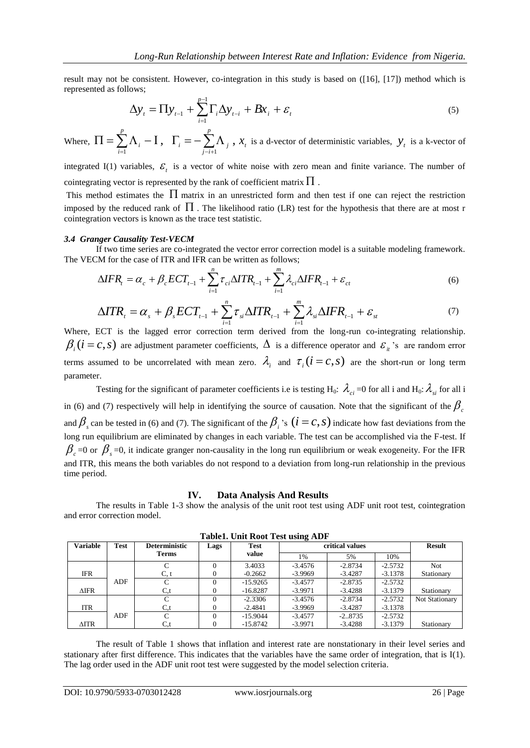result may not be consistent. However, co-integration in this study is based on ([16], [17]) method which is represented as follows;

$$
\Delta y_t = \Pi y_{t-1} + \sum_{i=1}^{p-1} \Gamma_i \Delta y_{t-i} + Bx_i + \varepsilon_t
$$
\n<sup>(5)</sup>

Where,  $\Pi = \sum \Lambda_i - I$ ,  $\Gamma_i = -\sum \Lambda_i$ ,  $\Pi = \sum_{i=1}^p \Lambda_i - \mathbf{I}$ ,  $\Gamma_i = -\sum_{j=i+1}^p \Lambda_j$  $\sum_{j-i+1}^{i}$ *p*  $\sum_{i=1}^{n} \Lambda_i - I$ ,  $\Gamma_i = -\sum_{j=i+1}^{n} \Lambda_j$ ,  $x_t$  is a d-vector of deterministic variables,  $y_t$  is a k-vector of

integrated I(1) variables,  $\mathcal{E}_t$  is a vector of white noise with zero mean and finite variance. The number of cointegrating vector is represented by the rank of coefficient matrix  $\Pi$  .

This method estimates the  $\Pi$  matrix in an unrestricted form and then test if one can reject the restriction imposed by the reduced rank of  $\Pi$ . The likelihood ratio (LR) test for the hypothesis that there are at most r cointegration vectors is known as the trace test statistic.

#### *3.4 Granger Causality Test-VECM*

If two time series are co-integrated the vector error correction model is a suitable modeling framework. The VECM for the case of ITR and IFR can be written as follows;

$$
\Delta IFR_t = \alpha_c + \beta_c ECT_{t-1} + \sum_{i=1}^{n} \tau_{ci} \Delta ITR_{t-1} + \sum_{i=1}^{m} \lambda_{ci} \Delta IFR_{t-1} + \varepsilon_{ct}
$$
\n
$$
\tag{6}
$$

$$
\Delta T R_{t} = \alpha_{s} + \beta_{s} E C T_{t-1} + \sum_{i=1}^{n} \tau_{si} \Delta T R_{t-1} + \sum_{i=1}^{m} \lambda_{si} \Delta I F R_{t-1} + \varepsilon_{st}
$$
\n<sup>(7)</sup>

Where, ECT is the lagged error correction term derived from the long-run co-integrating relationship.  $\beta_i$  ( $i = c, s$ ) are adjustment parameter coefficients,  $\Delta$  is a difference operator and  $\varepsilon_{ii}$ 's are random error terms assumed to be uncorrelated with mean zero.  $\lambda_i$  and  $\tau_i$  ( $i = c, s$ ) are the short-run or long term parameter.

Testing for the significant of parameter coefficients i.e is testing H<sub>0</sub>:  $\lambda_{ci}$  =0 for all i and H<sub>0</sub>:  $\lambda_{si}$  for all i in (6) and (7) respectively will help in identifying the source of causation. Note that the significant of the  $\beta_c$ and  $\beta$ <sub>s</sub> can be tested in (6) and (7). The significant of the  $\beta$ <sub>i</sub>'s ( $i = c, s$ ) indicate how fast deviations from the long run equilibrium are eliminated by changes in each variable. The test can be accomplished via the F-test. If  $\beta_c$  =0 or  $\beta_s$  =0, it indicate granger non-causality in the long run equilibrium or weak exogeneity. For the IFR and ITR, this means the both variables do not respond to a deviation from long-run relationship in the previous time period.

#### **IV. Data Analysis And Results**

The results in Table 1-3 show the analysis of the unit root test using ADF unit root test, cointegration and error correction model.

| <b>Variable</b> | <b>Test</b> | <b>Deterministic</b> | Lags     | <b>Test</b> | critical values |           | <b>Result</b> |                |
|-----------------|-------------|----------------------|----------|-------------|-----------------|-----------|---------------|----------------|
|                 |             | <b>Terms</b>         |          | value       | 1%              | 5%        | 10%           |                |
|                 |             |                      | $^{(1)}$ | 3.4033      | $-3.4576$       | $-2.8734$ | $-2.5732$     | Not            |
| <b>IFR</b>      |             | C, t                 |          | $-0.2662$   | $-3.9969$       | $-3.4287$ | $-3.1378$     | Stationary     |
|                 | ADF         |                      | $^{(1)}$ | $-15.9265$  | $-3.4577$       | $-2.8735$ | $-2.5732$     |                |
| $\triangle$ IFR |             | $C_{\rm t}$          |          | $-16.8287$  | $-3.9971$       | $-3.4288$ | $-3.1379$     | Stationary     |
|                 |             |                      | $\Omega$ | $-2.3306$   | $-3.4576$       | $-2.8734$ | $-2.5732$     | Not Stationary |
| <b>ITR</b>      |             | $C_{\rm t}$          |          | $-2.4841$   | $-3.9969$       | $-3.4287$ | $-3.1378$     |                |
|                 | ADF         |                      | $\Omega$ | $-15.9044$  | $-3.4577$       | $-2.8735$ | $-2.5732$     |                |
| $\triangle ITR$ |             | $C_{\rm t}$          |          | $-15.8742$  | $-3.9971$       | $-3.4288$ | $-3.1379$     | Stationary     |

**Table1. Unit Root Test using ADF**

The result of Table 1 shows that inflation and interest rate are nonstationary in their level series and stationary after first difference. This indicates that the variables have the same order of integration, that is I(1). The lag order used in the ADF unit root test were suggested by the model selection criteria.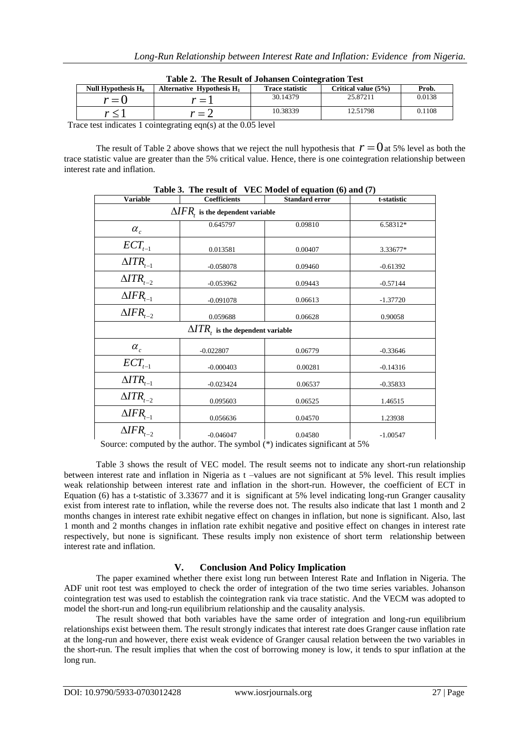| TUDIO SI TIID TICDUID OL O'OIIUIDOII COINDOLLUOLOII TODD |                              |                        |                     |        |  |  |
|----------------------------------------------------------|------------------------------|------------------------|---------------------|--------|--|--|
| Null Hypothesis $H_0$                                    | Alternative Hypothesis $H_1$ | <b>Trace statistic</b> | Critical value (5%) | Prob.  |  |  |
| $r = 0$                                                  | * = 1                        | 30.14379               | 25.87211            | 0.0138 |  |  |
|                                                          | = 1                          | 10.38339               | 12.51798            | 0.1108 |  |  |

**Table 2. The Result of Johansen Cointegration Test**

Trace test indicates 1 cointegrating eqn(s) at the 0.05 level

The result of Table 2 above shows that we reject the null hypothesis that  $r = 0$  at 5% level as both the trace statistic value are greater than the 5% critical value. Hence, there is one cointegration relationship between interest rate and inflation.

| <b>Variable</b>                          | <b>Coefficients</b>                      | <b>Standard error</b> | t-statistic |  |  |  |  |
|------------------------------------------|------------------------------------------|-----------------------|-------------|--|--|--|--|
| $\Delta IFR$ , is the dependent variable |                                          |                       |             |  |  |  |  |
| $\alpha_c$                               | 0.645797                                 | 0.09810               | 6.58312*    |  |  |  |  |
| $\mathit{ECT}_{t-1}$                     | 0.013581                                 | 0.00407               | 3.33677*    |  |  |  |  |
| $\triangle ITR_{t-1}$                    | $-0.058078$                              | 0.09460               | $-0.61392$  |  |  |  |  |
| $\triangle ITR_{t-2}$                    | $-0.053962$                              | 0.09443               | $-0.57144$  |  |  |  |  |
| $\triangle IFR_{t-1}$                    | $-0.091078$                              | 0.06613               | $-1.37720$  |  |  |  |  |
| $\overline{\Delta IFR}_{t-2}$            | 0.059688                                 | 0.06628               | 0.90058     |  |  |  |  |
|                                          | $\Delta T R_t$ is the dependent variable |                       |             |  |  |  |  |
| $\alpha_c$                               | $-0.022807$                              | 0.06779               | $-0.33646$  |  |  |  |  |
| $ECT_{t-1}$                              | $-0.000403$                              | 0.00281               | $-0.14316$  |  |  |  |  |
| $\triangle ITR_{t-1}$                    | $-0.023424$                              | 0.06537               | $-0.35833$  |  |  |  |  |
| $\triangle ITR_{t-2}$                    | 0.095603                                 | 0.06525               | 1.46515     |  |  |  |  |
| $\triangle IFR_{t-1}$                    | 0.056636                                 | 0.04570               | 1.23938     |  |  |  |  |
| $\overline{\Delta IFR_{t-2}}$            | $-0.046047$                              | 0.04580               | $-1.00547$  |  |  |  |  |

**Table 3. The result of VEC Model of equation (6) and (7)**

Source: computed by the author. The symbol (\*) indicates significant at 5%

Table 3 shows the result of VEC model. The result seems not to indicate any short-run relationship between interest rate and inflation in Nigeria as t –values are not significant at 5% level. This result implies weak relationship between interest rate and inflation in the short-run. However, the coefficient of ECT in Equation (6) has a t-statistic of 3.33677 and it is significant at 5% level indicating long-run Granger causality exist from interest rate to inflation, while the reverse does not. The results also indicate that last 1 month and 2 months changes in interest rate exhibit negative effect on changes in inflation, but none is significant. Also, last 1 month and 2 months changes in inflation rate exhibit negative and positive effect on changes in interest rate respectively, but none is significant. These results imply non existence of short term relationship between interest rate and inflation.

# **V. Conclusion And Policy Implication**

The paper examined whether there exist long run between Interest Rate and Inflation in Nigeria. The ADF unit root test was employed to check the order of integration of the two time series variables. Johanson cointegration test was used to establish the cointegration rank via trace statistic. And the VECM was adopted to model the short-run and long-run equilibrium relationship and the causality analysis.

The result showed that both variables have the same order of integration and long-run equilibrium relationships exist between them. The result strongly indicates that interest rate does Granger cause inflation rate at the long-run and however, there exist weak evidence of Granger causal relation between the two variables in the short-run. The result implies that when the cost of borrowing money is low, it tends to spur inflation at the long run.